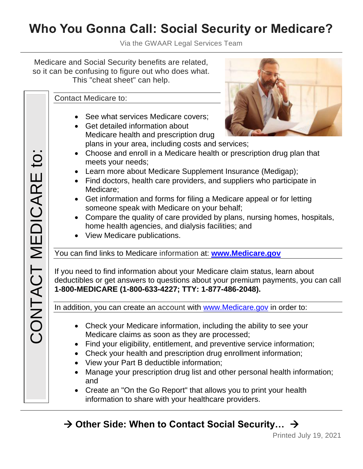## **Who You Gonna Call: Social Security or Medicare?**

Via the GWAAR Legal Services Team

Medicare and Social Security benefits are related, so it can be confusing to figure out who does what. This "cheat sheet" can help.

Contact Medicare to:

- See what services Medicare covers;
- Get detailed information about Medicare health and prescription drug plans in your area, including costs and services;



- Choose and enroll in a Medicare health or prescription drug plan that meets your needs;
- Learn more about Medicare Supplement Insurance (Medigap);
- Find doctors, health care providers, and suppliers who participate in Medicare;
- Get information and forms for filing a Medicare appeal or for letting someone speak with Medicare on your behalf;
- Compare the quality of care provided by plans, nursing homes, hospitals, home health agencies, and dialysis facilities; and
- View Medicare publications.

You can find links to Medicare information at: **[www.Medicare.gov](http://www.medicare.gov/)**

If you need to find information about your Medicare claim status, learn about deductibles or get answers to questions about your premium payments, you can call **1-800-MEDICARE (1-800-633-4227; TTY: 1-877-486-2048).**

In addition, you can create an account with [www.Medicare.gov](http://www.medicare.gov/) in order to:

- Check your Medicare information, including the ability to see your Medicare claims as soon as they are processed;
- Find your eligibility, entitlement, and preventive service information;
- Check your health and prescription drug enrollment information;
- View your Part B deductible information;
- Manage your prescription drug list and other personal health information; and
- Create an "On the Go Report" that allows you to print your health information to share with your healthcare providers.